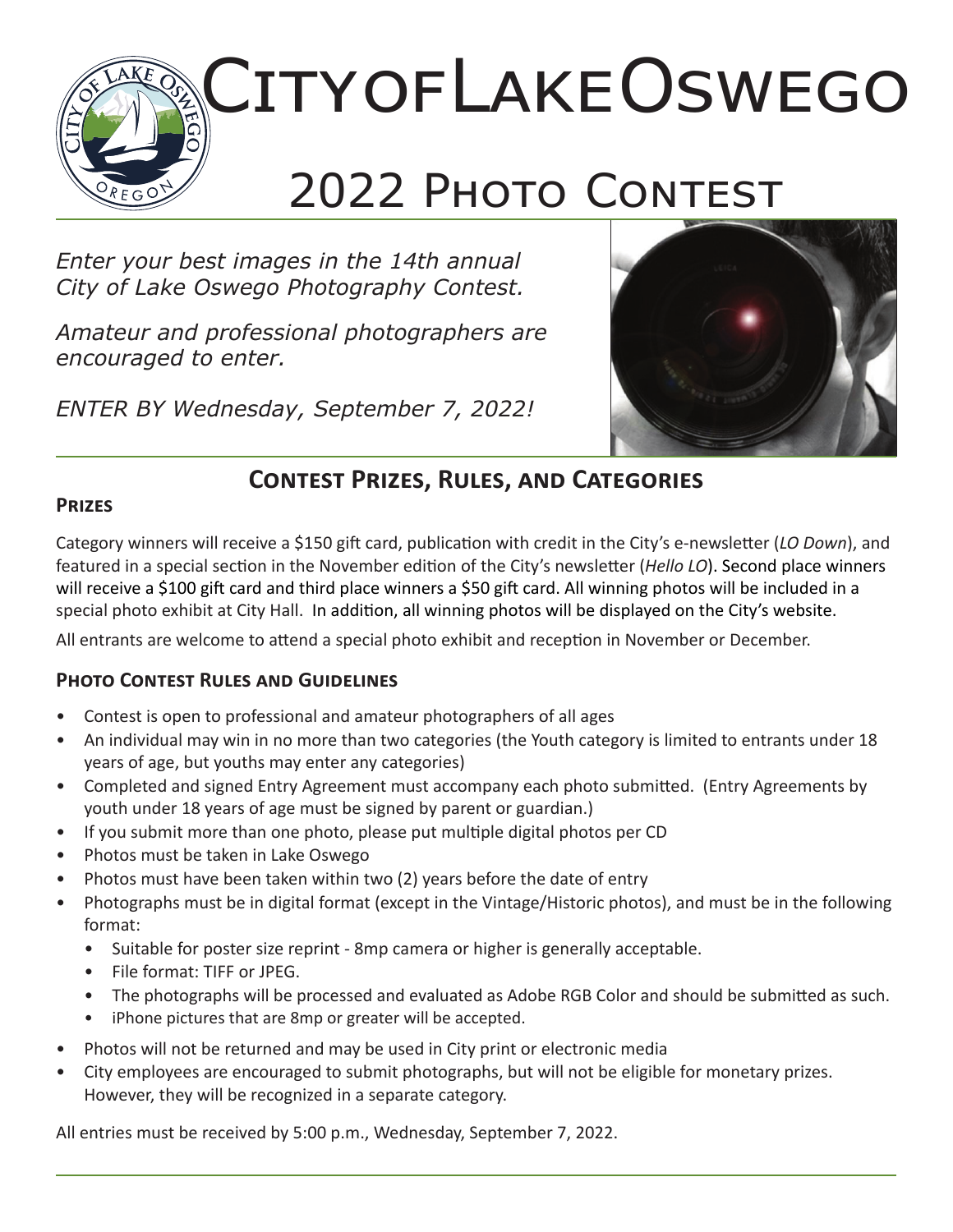# City of Lake Oswego 2022 PHOTO CONTEST

*Enter your best images in the 14th annual City of Lake Oswego Photography Contest.*

*Amateur and professional photographers are encouraged to enter.* 

*ENTER BY Wednesday, September 7, 2022!*



## **Contest Prizes, Rules, and Categories**

#### **Prizes**

Category winners will receive a \$150 gift card, publication with credit in the City's e-newsletter (*LO Down*), and featured in a special section in the November edition of the City's newsletter (*Hello LO*). Second place winners will receive a \$100 gift card and third place winners a \$50 gift card. All winning photos will be included in a special photo exhibit at City Hall. In addition, all winning photos will be displayed on the City's website.

All entrants are welcome to attend a special photo exhibit and reception in November or December.

### **Photo Contest Rules and Guidelines**

- Contest is open to professional and amateur photographers of all ages
- An individual may win in no more than two categories (the Youth category is limited to entrants under 18 years of age, but youths may enter any categories)
- Completed and signed Entry Agreement must accompany each photo submitted. (Entry Agreements by youth under 18 years of age must be signed by parent or guardian.)
- If you submit more than one photo, please put multiple digital photos per CD
- Photos must be taken in Lake Oswego
- Photos must have been taken within two (2) years before the date of entry
- Photographs must be in digital format (except in the Vintage/Historic photos), and must be in the following format:
	- Suitable for poster size reprint 8mp camera or higher is generally acceptable.
	- File format: TIFF or JPEG.
	- The photographs will be processed and evaluated as Adobe RGB Color and should be submitted as such.
	- iPhone pictures that are 8mp or greater will be accepted.
- Photos will not be returned and may be used in City print or electronic media
- City employees are encouraged to submit photographs, but will not be eligible for monetary prizes. However, they will be recognized in a separate category.

All entries must be received by 5:00 p.m., Wednesday, September 7, 2022.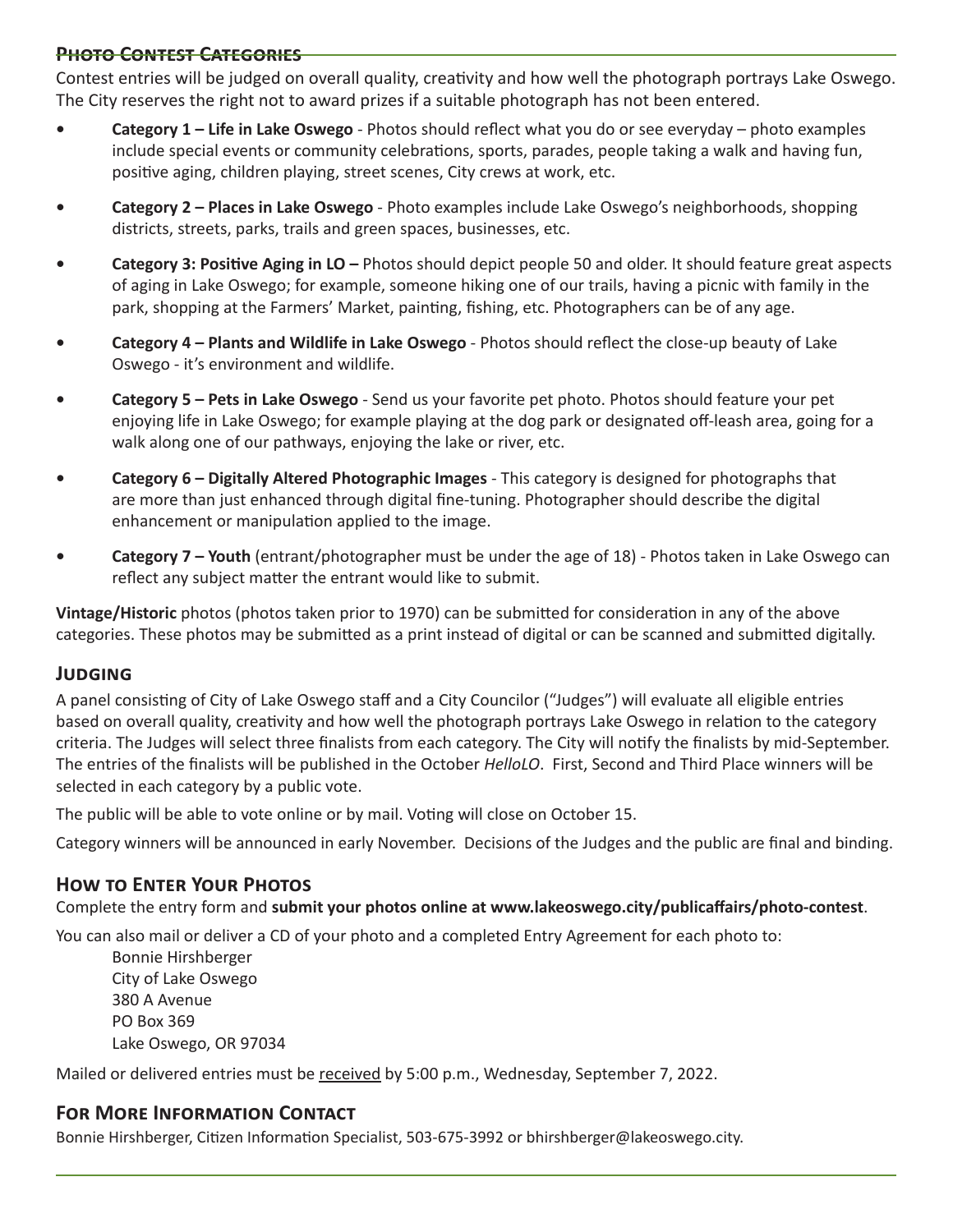#### **Photo Contest Categories**

Contest entries will be judged on overall quality, creativity and how well the photograph portrays Lake Oswego. The City reserves the right not to award prizes if a suitable photograph has not been entered.

- **• Category 1 Life in Lake Oswego** Photos should reflect what you do or see everyday photo examples include special events or community celebrations, sports, parades, people taking a walk and having fun, positive aging, children playing, street scenes, City crews at work, etc.
- **• Category 2 Places in Lake Oswego** Photo examples include Lake Oswego's neighborhoods, shopping districts, streets, parks, trails and green spaces, businesses, etc.
- **• Category 3: Positive Aging in LO** Photos should depict people 50 and older. It should feature great aspects of aging in Lake Oswego; for example, someone hiking one of our trails, having a picnic with family in the park, shopping at the Farmers' Market, painting, fishing, etc. Photographers can be of any age.
- **• Category 4 Plants and Wildlife in Lake Oswego** Photos should reflect the close-up beauty of Lake Oswego - it's environment and wildlife.
- **• Category 5 Pets in Lake Oswego**  Send us your favorite pet photo. Photos should feature your pet enjoying life in Lake Oswego; for example playing at the dog park or designated off-leash area, going for a walk along one of our pathways, enjoying the lake or river, etc.
- **• Category 6 Digitally Altered Photographic Images** This category is designed for photographs that are more than just enhanced through digital fine-tuning. Photographer should describe the digital enhancement or manipulation applied to the image.
- **• Category 7 Youth** (entrant/photographer must be under the age of 18) Photos taken in Lake Oswego can reflect any subject matter the entrant would like to submit.

**Vintage/Historic** photos (photos taken prior to 1970) can be submitted for consideration in any of the above categories. These photos may be submitted as a print instead of digital or can be scanned and submitted digitally.

#### **Judging**

A panel consisting of City of Lake Oswego staff and a City Councilor ("Judges") will evaluate all eligible entries based on overall quality, creativity and how well the photograph portrays Lake Oswego in relation to the category criteria. The Judges will select three finalists from each category. The City will notify the finalists by mid-September. The entries of the finalists will be published in the October *HelloLO*. First, Second and Third Place winners will be selected in each category by a public vote.

The public will be able to vote online or by mail. Voting will close on October 15.

Category winners will be announced in early November. Decisions of the Judges and the public are final and binding.

#### **How to Enter Your Photos**

Complete the entry form and **submit your photos online at www.lakeoswego.city/publicaffairs/photo-contest**.

You can also mail or deliver a CD of your photo and a completed Entry Agreement for each photo to:

Bonnie Hirshberger City of Lake Oswego 380 A Avenue PO Box 369 Lake Oswego, OR 97034

Mailed or delivered entries must be received by 5:00 p.m., Wednesday, September 7, 2022.

#### **For More Information Contact**

Bonnie Hirshberger, Citizen Information Specialist, 503-675-3992 or bhirshberger@lakeoswego.city.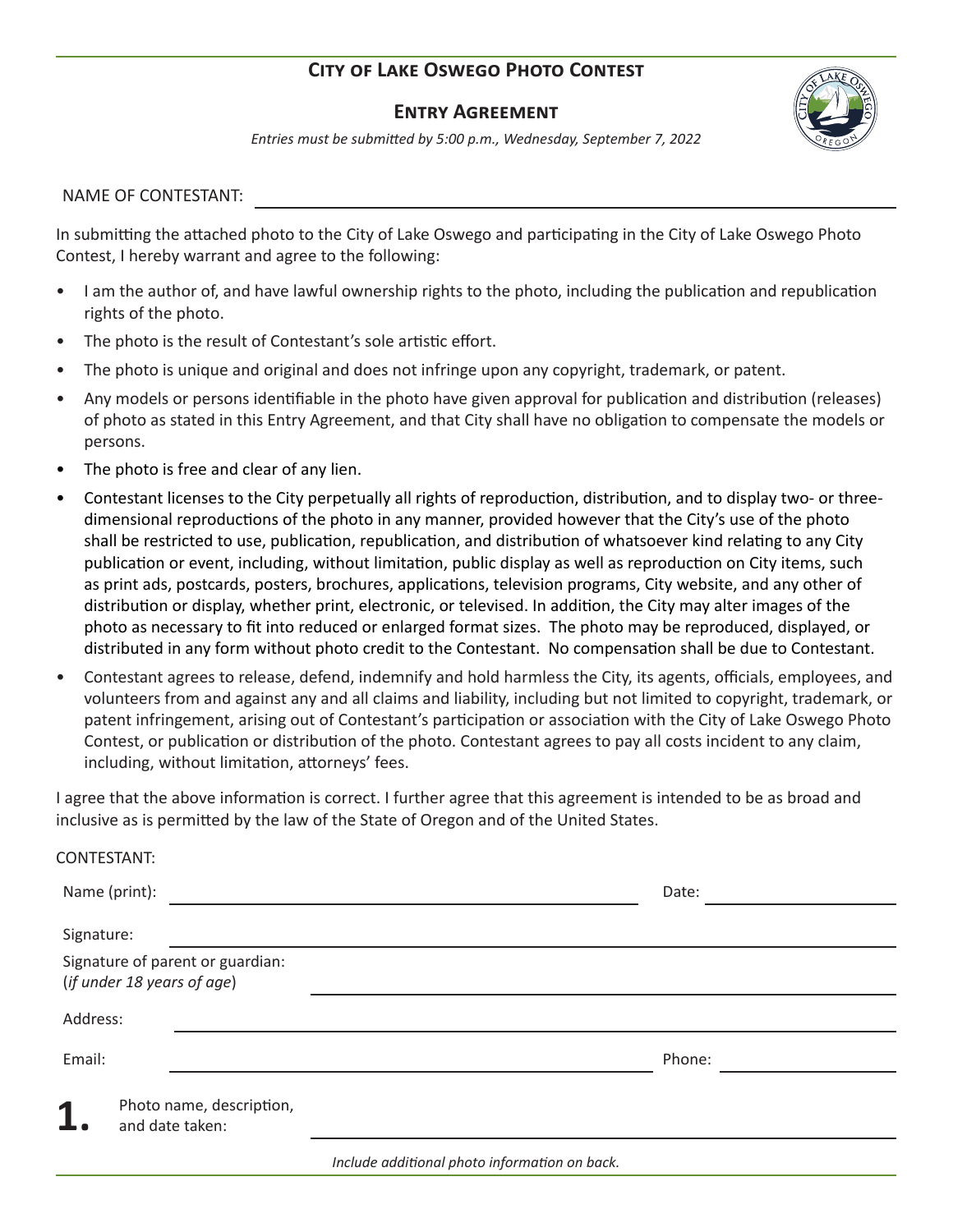#### **City of Lake Oswego Photo Contest**

#### **Entry Agreement**



*Entries must be submitted by 5:00 p.m., Wednesday, September 7, 2022*

NAME OF CONTESTANT:

In submitting the attached photo to the City of Lake Oswego and participating in the City of Lake Oswego Photo Contest, I hereby warrant and agree to the following:

- I am the author of, and have lawful ownership rights to the photo, including the publication and republication rights of the photo.
- The photo is the result of Contestant's sole artistic effort.
- The photo is unique and original and does not infringe upon any copyright, trademark, or patent.
- Any models or persons identifiable in the photo have given approval for publication and distribution (releases) of photo as stated in this Entry Agreement, and that City shall have no obligation to compensate the models or persons.
- The photo is free and clear of any lien.
- Contestant licenses to the City perpetually all rights of reproduction, distribution, and to display two- or threedimensional reproductions of the photo in any manner, provided however that the City's use of the photo shall be restricted to use, publication, republication, and distribution of whatsoever kind relating to any City publication or event, including, without limitation, public display as well as reproduction on City items, such as print ads, postcards, posters, brochures, applications, television programs, City website, and any other of distribution or display, whether print, electronic, or televised. In addition, the City may alter images of the photo as necessary to fit into reduced or enlarged format sizes. The photo may be reproduced, displayed, or distributed in any form without photo credit to the Contestant. No compensation shall be due to Contestant.
- Contestant agrees to release, defend, indemnify and hold harmless the City, its agents, officials, employees, and volunteers from and against any and all claims and liability, including but not limited to copyright, trademark, or patent infringement, arising out of Contestant's participation or association with the City of Lake Oswego Photo Contest, or publication or distribution of the photo. Contestant agrees to pay all costs incident to any claim, including, without limitation, attorneys' fees.

I agree that the above information is correct. I further agree that this agreement is intended to be as broad and inclusive as is permitted by the law of the State of Oregon and of the United States.

| CONTESTANT: |
|-------------|
|-------------|

| Name (print):                                                  |                                               | Date:  |
|----------------------------------------------------------------|-----------------------------------------------|--------|
| Signature:                                                     |                                               |        |
| Signature of parent or guardian:<br>(if under 18 years of age) |                                               |        |
| Address:                                                       |                                               |        |
| Email:                                                         |                                               | Phone: |
| Photo name, description,<br>1<br>and date taken:               |                                               |        |
|                                                                | Include additional photo information on back. |        |